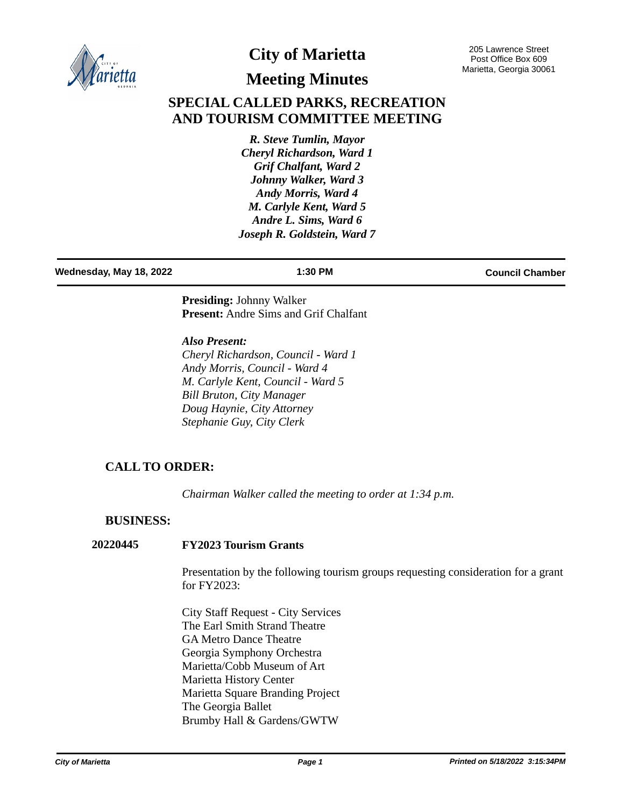

# **City of Marietta**

205 Lawrence Street Post Office Box 609 Marietta, Georgia 30061

# **Meeting Minutes**

# **SPECIAL CALLED PARKS, RECREATION AND TOURISM COMMITTEE MEETING**

*R. Steve Tumlin, Mayor Cheryl Richardson, Ward 1 Grif Chalfant, Ward 2 Johnny Walker, Ward 3 Andy Morris, Ward 4 M. Carlyle Kent, Ward 5 Andre L. Sims, Ward 6 Joseph R. Goldstein, Ward 7*

### **Wednesday, May 18, 2022 1:30 PM Council Chamber**

**Presiding:** Johnny Walker **Present:** Andre Sims and Grif Chalfant

*Also Present: Cheryl Richardson, Council - Ward 1 Andy Morris, Council - Ward 4 M. Carlyle Kent, Council - Ward 5 Bill Bruton, City Manager Doug Haynie, City Attorney Stephanie Guy, City Clerk*

## **CALL TO ORDER:**

*Chairman Walker called the meeting to order at 1:34 p.m.*

## **BUSINESS:**

## **20220445 FY2023 Tourism Grants**

Presentation by the following tourism groups requesting consideration for a grant for FY2023:

City Staff Request - City Services The Earl Smith Strand Theatre GA Metro Dance Theatre Georgia Symphony Orchestra Marietta/Cobb Museum of Art Marietta History Center Marietta Square Branding Project The Georgia Ballet Brumby Hall & Gardens/GWTW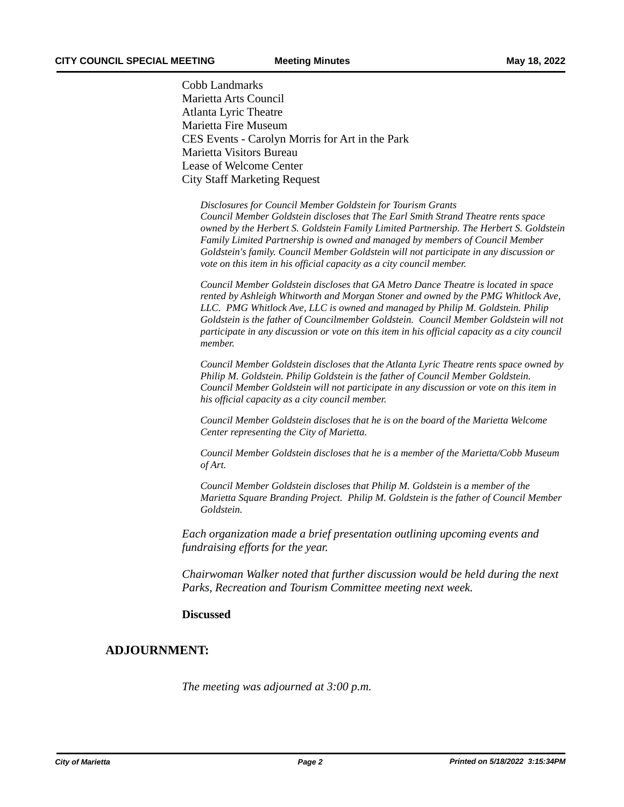Cobb Landmarks Marietta Arts Council Atlanta Lyric Theatre Marietta Fire Museum CES Events - Carolyn Morris for Art in the Park Marietta Visitors Bureau Lease of Welcome Center City Staff Marketing Request

*Disclosures for Council Member Goldstein for Tourism Grants Council Member Goldstein discloses that The Earl Smith Strand Theatre rents space owned by the Herbert S. Goldstein Family Limited Partnership. The Herbert S. Goldstein Family Limited Partnership is owned and managed by members of Council Member Goldstein's family. Council Member Goldstein will not participate in any discussion or vote on this item in his official capacity as a city council member.*

*Council Member Goldstein discloses that GA Metro Dance Theatre is located in space rented by Ashleigh Whitworth and Morgan Stoner and owned by the PMG Whitlock Ave, LLC. PMG Whitlock Ave, LLC is owned and managed by Philip M. Goldstein. Philip Goldstein is the father of Councilmember Goldstein. Council Member Goldstein will not participate in any discussion or vote on this item in his official capacity as a city council member.*

*Council Member Goldstein discloses that the Atlanta Lyric Theatre rents space owned by Philip M. Goldstein. Philip Goldstein is the father of Council Member Goldstein. Council Member Goldstein will not participate in any discussion or vote on this item in his official capacity as a city council member.*

*Council Member Goldstein discloses that he is on the board of the Marietta Welcome Center representing the City of Marietta.*

*Council Member Goldstein discloses that he is a member of the Marietta/Cobb Museum of Art.*

*Council Member Goldstein discloses that Philip M. Goldstein is a member of the Marietta Square Branding Project. Philip M. Goldstein is the father of Council Member Goldstein.*

*Each organization made a brief presentation outlining upcoming events and fundraising efforts for the year.*

*Chairwoman Walker noted that further discussion would be held during the next Parks, Recreation and Tourism Committee meeting next week.*

### **Discussed**

## **ADJOURNMENT:**

*The meeting was adjourned at 3:00 p.m.*